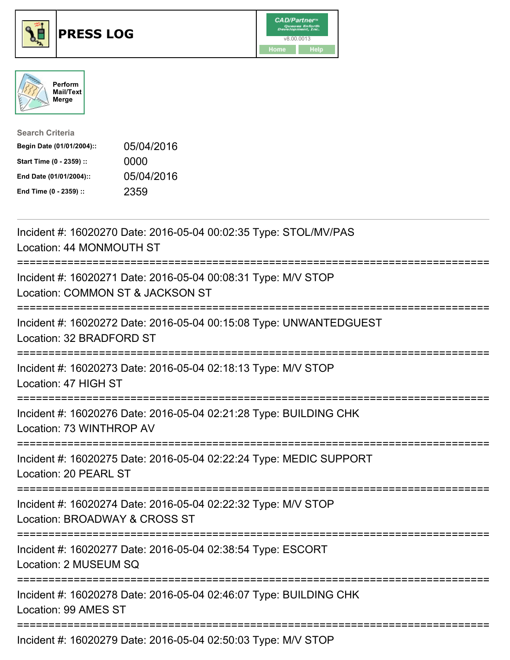

## **PRESS LOG** v8.00.0013





| <b>Search Criteria</b>    |            |
|---------------------------|------------|
| Begin Date (01/01/2004):: | 05/04/2016 |
| Start Time (0 - 2359) ::  | 0000       |
| End Date (01/01/2004)::   | 05/04/2016 |
| End Time (0 - 2359) ::    | 2359       |

Incident #: 16020270 Date: 2016-05-04 00:02:35 Type: STOL/MV/PAS Location: 44 MONMOUTH ST =========================================================================== Incident #: 16020271 Date: 2016-05-04 00:08:31 Type: M/V STOP Location: COMMON ST & JACKSON ST =========================================================================== Incident #: 16020272 Date: 2016-05-04 00:15:08 Type: UNWANTEDGUEST Location: 32 BRADFORD ST =========================================================================== Incident #: 16020273 Date: 2016-05-04 02:18:13 Type: M/V STOP Location: 47 HIGH ST =========================================================================== Incident #: 16020276 Date: 2016-05-04 02:21:28 Type: BUILDING CHK Location: 73 WINTHROP AV =========================================================================== Incident #: 16020275 Date: 2016-05-04 02:22:24 Type: MEDIC SUPPORT Location: 20 PEARL ST =========================================================================== Incident #: 16020274 Date: 2016-05-04 02:22:32 Type: M/V STOP Location: BROADWAY & CROSS ST =========================================================================== Incident #: 16020277 Date: 2016-05-04 02:38:54 Type: ESCORT Location: 2 MUSEUM SQ =========================================================================== Incident #: 16020278 Date: 2016-05-04 02:46:07 Type: BUILDING CHK Location: 99 AMES ST =========================================================================== Incident #: 16020279 Date: 2016-05-04 02:50:03 Type: M/V STOP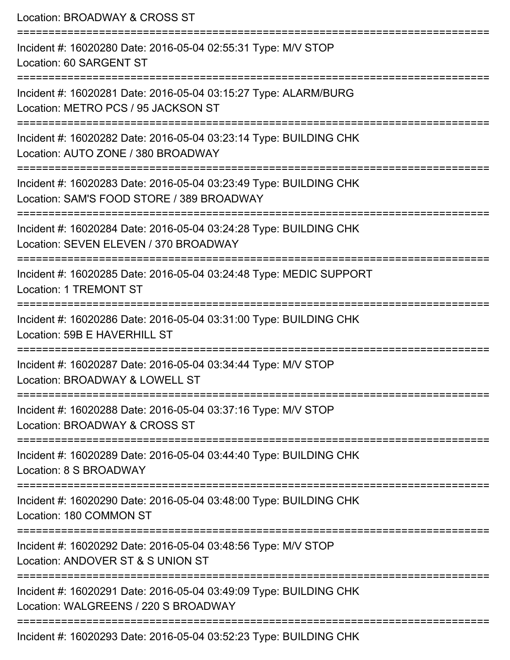| Location: BROADWAY & CROSS ST                                                                                                |  |
|------------------------------------------------------------------------------------------------------------------------------|--|
| Incident #: 16020280 Date: 2016-05-04 02:55:31 Type: M/V STOP<br>Location: 60 SARGENT ST                                     |  |
| Incident #: 16020281 Date: 2016-05-04 03:15:27 Type: ALARM/BURG<br>Location: METRO PCS / 95 JACKSON ST                       |  |
| Incident #: 16020282 Date: 2016-05-04 03:23:14 Type: BUILDING CHK<br>Location: AUTO ZONE / 380 BROADWAY                      |  |
| Incident #: 16020283 Date: 2016-05-04 03:23:49 Type: BUILDING CHK<br>Location: SAM'S FOOD STORE / 389 BROADWAY               |  |
| Incident #: 16020284 Date: 2016-05-04 03:24:28 Type: BUILDING CHK<br>Location: SEVEN ELEVEN / 370 BROADWAY                   |  |
| Incident #: 16020285 Date: 2016-05-04 03:24:48 Type: MEDIC SUPPORT<br><b>Location: 1 TREMONT ST</b>                          |  |
| =======================<br>Incident #: 16020286 Date: 2016-05-04 03:31:00 Type: BUILDING CHK<br>Location: 59B E HAVERHILL ST |  |
| Incident #: 16020287 Date: 2016-05-04 03:34:44 Type: M/V STOP<br>Location: BROADWAY & LOWELL ST                              |  |
| Incident #: 16020288 Date: 2016-05-04 03:37:16 Type: M/V STOP<br>Location: BROADWAY & CROSS ST                               |  |
| Incident #: 16020289 Date: 2016-05-04 03:44:40 Type: BUILDING CHK<br>Location: 8 S BROADWAY                                  |  |
| Incident #: 16020290 Date: 2016-05-04 03:48:00 Type: BUILDING CHK<br>Location: 180 COMMON ST                                 |  |
| Incident #: 16020292 Date: 2016-05-04 03:48:56 Type: M/V STOP<br>Location: ANDOVER ST & S UNION ST                           |  |
| Incident #: 16020291 Date: 2016-05-04 03:49:09 Type: BUILDING CHK<br>Location: WALGREENS / 220 S BROADWAY                    |  |
| Incident #: 16020293 Date: 2016-05-04 03:52:23 Type: BUILDING CHK                                                            |  |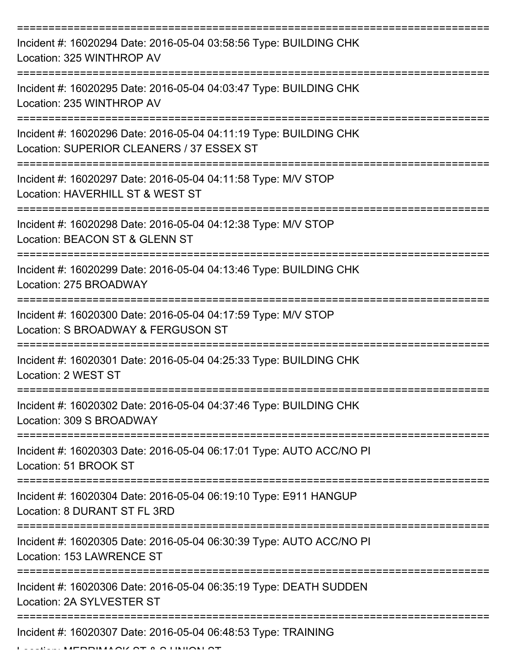| Incident #: 16020294 Date: 2016-05-04 03:58:56 Type: BUILDING CHK<br>Location: 325 WINTHROP AV                 |
|----------------------------------------------------------------------------------------------------------------|
| Incident #: 16020295 Date: 2016-05-04 04:03:47 Type: BUILDING CHK<br>Location: 235 WINTHROP AV                 |
| Incident #: 16020296 Date: 2016-05-04 04:11:19 Type: BUILDING CHK<br>Location: SUPERIOR CLEANERS / 37 ESSEX ST |
| Incident #: 16020297 Date: 2016-05-04 04:11:58 Type: M/V STOP<br>Location: HAVERHILL ST & WEST ST              |
| Incident #: 16020298 Date: 2016-05-04 04:12:38 Type: M/V STOP<br>Location: BEACON ST & GLENN ST                |
| Incident #: 16020299 Date: 2016-05-04 04:13:46 Type: BUILDING CHK<br>Location: 275 BROADWAY                    |
| Incident #: 16020300 Date: 2016-05-04 04:17:59 Type: M/V STOP<br>Location: S BROADWAY & FERGUSON ST            |
| Incident #: 16020301 Date: 2016-05-04 04:25:33 Type: BUILDING CHK<br>Location: 2 WEST ST                       |
| Incident #: 16020302 Date: 2016-05-04 04:37:46 Type: BUILDING CHK<br>Location: 309 S BROADWAY                  |
| Incident #: 16020303 Date: 2016-05-04 06:17:01 Type: AUTO ACC/NO PI<br>Location: 51 BROOK ST                   |
| Incident #: 16020304 Date: 2016-05-04 06:19:10 Type: E911 HANGUP<br>Location: 8 DURANT ST FL 3RD               |
| Incident #: 16020305 Date: 2016-05-04 06:30:39 Type: AUTO ACC/NO PI<br>Location: 153 LAWRENCE ST               |
| Incident #: 16020306 Date: 2016-05-04 06:35:19 Type: DEATH SUDDEN<br>Location: 2A SYLVESTER ST                 |
| Incident #: 16020307 Date: 2016-05-04 06:48:53 Type: TRAINING                                                  |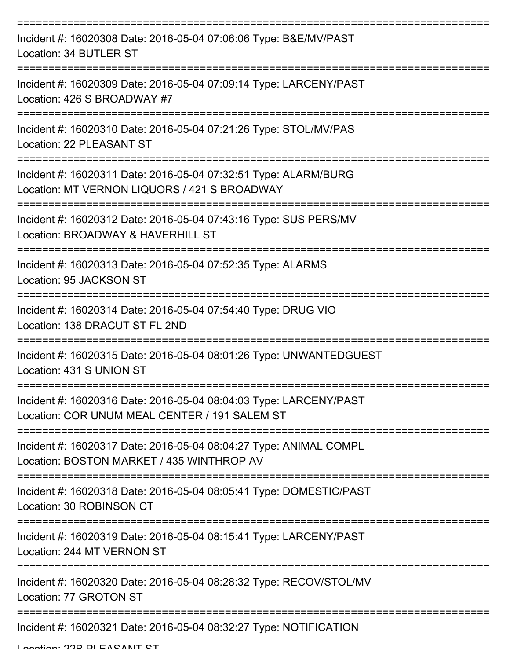| Incident #: 16020308 Date: 2016-05-04 07:06:06 Type: B&E/MV/PAST<br>Location: 34 BUTLER ST                         |
|--------------------------------------------------------------------------------------------------------------------|
| Incident #: 16020309 Date: 2016-05-04 07:09:14 Type: LARCENY/PAST<br>Location: 426 S BROADWAY #7                   |
| Incident #: 16020310 Date: 2016-05-04 07:21:26 Type: STOL/MV/PAS<br>Location: 22 PLEASANT ST                       |
| Incident #: 16020311 Date: 2016-05-04 07:32:51 Type: ALARM/BURG<br>Location: MT VERNON LIQUORS / 421 S BROADWAY    |
| Incident #: 16020312 Date: 2016-05-04 07:43:16 Type: SUS PERS/MV<br>Location: BROADWAY & HAVERHILL ST              |
| Incident #: 16020313 Date: 2016-05-04 07:52:35 Type: ALARMS<br>Location: 95 JACKSON ST                             |
| Incident #: 16020314 Date: 2016-05-04 07:54:40 Type: DRUG VIO<br>Location: 138 DRACUT ST FL 2ND                    |
| Incident #: 16020315 Date: 2016-05-04 08:01:26 Type: UNWANTEDGUEST<br>Location: 431 S UNION ST                     |
| Incident #: 16020316 Date: 2016-05-04 08:04:03 Type: LARCENY/PAST<br>Location: COR UNUM MEAL CENTER / 191 SALEM ST |
| Incident #: 16020317 Date: 2016-05-04 08:04:27 Type: ANIMAL COMPL<br>Location: BOSTON MARKET / 435 WINTHROP AV     |
| Incident #: 16020318 Date: 2016-05-04 08:05:41 Type: DOMESTIC/PAST<br>Location: 30 ROBINSON CT                     |
| Incident #: 16020319 Date: 2016-05-04 08:15:41 Type: LARCENY/PAST<br>Location: 244 MT VERNON ST                    |
| Incident #: 16020320 Date: 2016-05-04 08:28:32 Type: RECOV/STOL/MV<br>Location: 77 GROTON ST                       |
| Incident #: 16020321 Date: 2016-05-04 08:32:27 Type: NOTIFICATION                                                  |

Location: 22B PLEASANT ST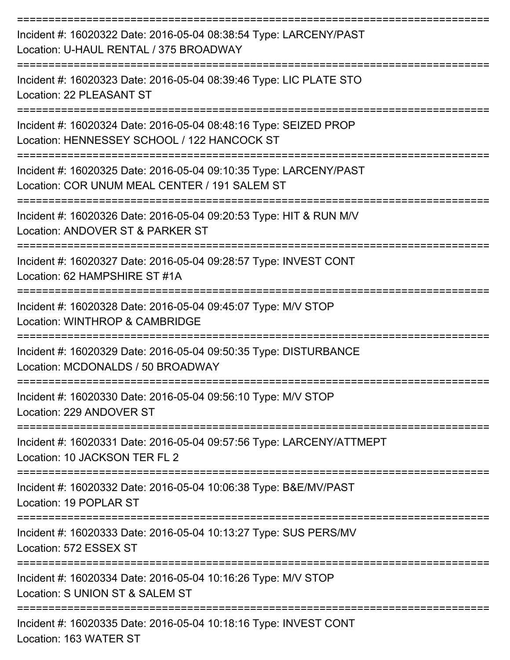| Incident #: 16020322 Date: 2016-05-04 08:38:54 Type: LARCENY/PAST<br>Location: U-HAUL RENTAL / 375 BROADWAY        |
|--------------------------------------------------------------------------------------------------------------------|
| Incident #: 16020323 Date: 2016-05-04 08:39:46 Type: LIC PLATE STO<br>Location: 22 PLEASANT ST                     |
| Incident #: 16020324 Date: 2016-05-04 08:48:16 Type: SEIZED PROP<br>Location: HENNESSEY SCHOOL / 122 HANCOCK ST    |
| Incident #: 16020325 Date: 2016-05-04 09:10:35 Type: LARCENY/PAST<br>Location: COR UNUM MEAL CENTER / 191 SALEM ST |
| Incident #: 16020326 Date: 2016-05-04 09:20:53 Type: HIT & RUN M/V<br>Location: ANDOVER ST & PARKER ST             |
| Incident #: 16020327 Date: 2016-05-04 09:28:57 Type: INVEST CONT<br>Location: 62 HAMPSHIRE ST #1A                  |
| Incident #: 16020328 Date: 2016-05-04 09:45:07 Type: M/V STOP<br>Location: WINTHROP & CAMBRIDGE                    |
| Incident #: 16020329 Date: 2016-05-04 09:50:35 Type: DISTURBANCE<br>Location: MCDONALDS / 50 BROADWAY              |
| Incident #: 16020330 Date: 2016-05-04 09:56:10 Type: M/V STOP<br>Location: 229 ANDOVER ST                          |
| Incident #: 16020331 Date: 2016-05-04 09:57:56 Type: LARCENY/ATTMEPT<br>Location: 10 JACKSON TER FL 2              |
| Incident #: 16020332 Date: 2016-05-04 10:06:38 Type: B&E/MV/PAST<br>Location: 19 POPLAR ST                         |
| Incident #: 16020333 Date: 2016-05-04 10:13:27 Type: SUS PERS/MV<br>Location: 572 ESSEX ST                         |
| Incident #: 16020334 Date: 2016-05-04 10:16:26 Type: M/V STOP<br>Location: S UNION ST & SALEM ST                   |
| Incident #: 16020335 Date: 2016-05-04 10:18:16 Type: INVEST CONT                                                   |

Location: 163 WATER ST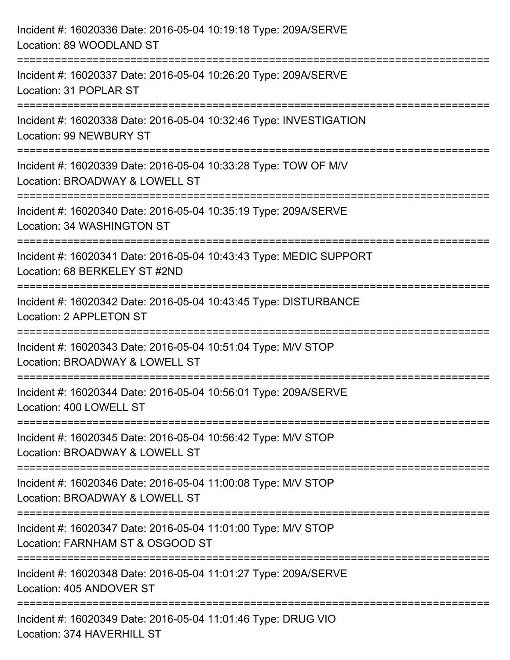| Incident #: 16020336 Date: 2016-05-04 10:19:18 Type: 209A/SERVE<br>Location: 89 WOODLAND ST                                                 |
|---------------------------------------------------------------------------------------------------------------------------------------------|
| =========================<br>Incident #: 16020337 Date: 2016-05-04 10:26:20 Type: 209A/SERVE<br>Location: 31 POPLAR ST                      |
| Incident #: 16020338 Date: 2016-05-04 10:32:46 Type: INVESTIGATION<br><b>Location: 99 NEWBURY ST</b><br>=================================== |
| Incident #: 16020339 Date: 2016-05-04 10:33:28 Type: TOW OF M/V<br>Location: BROADWAY & LOWELL ST                                           |
| Incident #: 16020340 Date: 2016-05-04 10:35:19 Type: 209A/SERVE<br>Location: 34 WASHINGTON ST                                               |
| Incident #: 16020341 Date: 2016-05-04 10:43:43 Type: MEDIC SUPPORT<br>Location: 68 BERKELEY ST #2ND                                         |
| Incident #: 16020342 Date: 2016-05-04 10:43:45 Type: DISTURBANCE<br>Location: 2 APPLETON ST                                                 |
| Incident #: 16020343 Date: 2016-05-04 10:51:04 Type: M/V STOP<br>Location: BROADWAY & LOWELL ST                                             |
| Incident #: 16020344 Date: 2016-05-04 10:56:01 Type: 209A/SERVE<br>Location: 400 LOWELL ST                                                  |
| Incident #: 16020345 Date: 2016-05-04 10:56:42 Type: M/V STOP<br>Location: BROADWAY & LOWELL ST                                             |
| Incident #: 16020346 Date: 2016-05-04 11:00:08 Type: M/V STOP<br>Location: BROADWAY & LOWELL ST                                             |
| Incident #: 16020347 Date: 2016-05-04 11:01:00 Type: M/V STOP<br>Location: FARNHAM ST & OSGOOD ST                                           |
| Incident #: 16020348 Date: 2016-05-04 11:01:27 Type: 209A/SERVE<br>Location: 405 ANDOVER ST                                                 |
| Incident #: 16020349 Date: 2016-05-04 11:01:46 Type: DRUG VIO<br>Location: 374 HAVERHILL ST                                                 |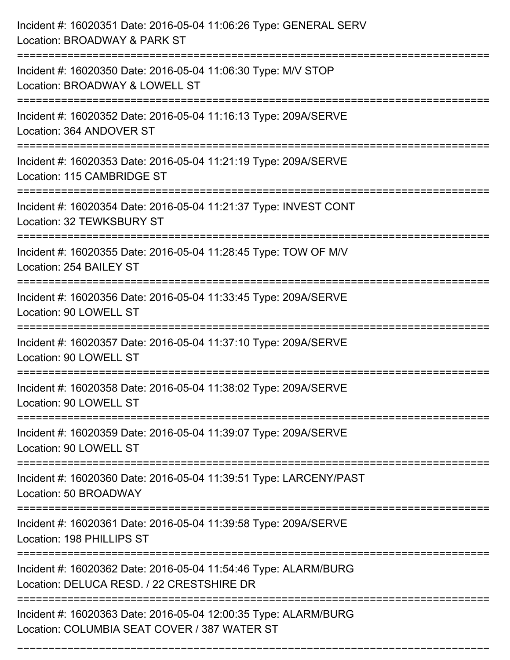| Incident #: 16020351 Date: 2016-05-04 11:06:26 Type: GENERAL SERV<br>Location: BROADWAY & PARK ST                                                                       |
|-------------------------------------------------------------------------------------------------------------------------------------------------------------------------|
| Incident #: 16020350 Date: 2016-05-04 11:06:30 Type: M/V STOP<br>Location: BROADWAY & LOWELL ST                                                                         |
| Incident #: 16020352 Date: 2016-05-04 11:16:13 Type: 209A/SERVE<br>Location: 364 ANDOVER ST                                                                             |
| Incident #: 16020353 Date: 2016-05-04 11:21:19 Type: 209A/SERVE<br>Location: 115 CAMBRIDGE ST                                                                           |
| Incident #: 16020354 Date: 2016-05-04 11:21:37 Type: INVEST CONT<br>Location: 32 TEWKSBURY ST                                                                           |
| Incident #: 16020355 Date: 2016-05-04 11:28:45 Type: TOW OF M/V<br>Location: 254 BAILEY ST                                                                              |
| Incident #: 16020356 Date: 2016-05-04 11:33:45 Type: 209A/SERVE<br>Location: 90 LOWELL ST                                                                               |
| Incident #: 16020357 Date: 2016-05-04 11:37:10 Type: 209A/SERVE<br>Location: 90 LOWELL ST                                                                               |
| Incident #: 16020358 Date: 2016-05-04 11:38:02 Type: 209A/SERVE<br>Location: 90 LOWELL ST                                                                               |
| Incident #: 16020359 Date: 2016-05-04 11:39:07 Type: 209A/SERVE<br>Location: 90 LOWELL ST                                                                               |
| ----------------------------------<br>-----------------------------------<br>Incident #: 16020360 Date: 2016-05-04 11:39:51 Type: LARCENY/PAST<br>Location: 50 BROADWAY |
| Incident #: 16020361 Date: 2016-05-04 11:39:58 Type: 209A/SERVE<br>Location: 198 PHILLIPS ST                                                                            |
| Incident #: 16020362 Date: 2016-05-04 11:54:46 Type: ALARM/BURG<br>Location: DELUCA RESD. / 22 CRESTSHIRE DR                                                            |
| Incident #: 16020363 Date: 2016-05-04 12:00:35 Type: ALARM/BURG<br>Location: COLUMBIA SEAT COVER / 387 WATER ST                                                         |

===========================================================================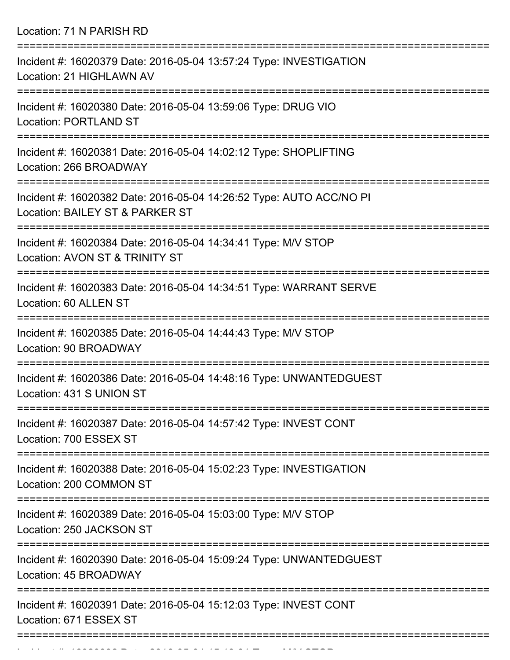Location: 71 N PARISH RD

| Incident #: 16020379 Date: 2016-05-04 13:57:24 Type: INVESTIGATION<br>Location: 21 HIGHLAWN AV                                    |
|-----------------------------------------------------------------------------------------------------------------------------------|
| Incident #: 16020380 Date: 2016-05-04 13:59:06 Type: DRUG VIO<br><b>Location: PORTLAND ST</b>                                     |
| Incident #: 16020381 Date: 2016-05-04 14:02:12 Type: SHOPLIFTING<br>Location: 266 BROADWAY                                        |
| Incident #: 16020382 Date: 2016-05-04 14:26:52 Type: AUTO ACC/NO PI<br>Location: BAILEY ST & PARKER ST                            |
| Incident #: 16020384 Date: 2016-05-04 14:34:41 Type: M/V STOP<br>Location: AVON ST & TRINITY ST                                   |
| Incident #: 16020383 Date: 2016-05-04 14:34:51 Type: WARRANT SERVE<br>Location: 60 ALLEN ST                                       |
| Incident #: 16020385 Date: 2016-05-04 14:44:43 Type: M/V STOP<br>Location: 90 BROADWAY                                            |
| Incident #: 16020386 Date: 2016-05-04 14:48:16 Type: UNWANTEDGUEST<br>Location: 431 S UNION ST                                    |
| :==================================<br>Incident #: 16020387 Date: 2016-05-04 14:57:42 Type: INVEST CONT<br>Location: 700 ESSEX ST |
| Incident #: 16020388 Date: 2016-05-04 15:02:23 Type: INVESTIGATION<br>Location: 200 COMMON ST                                     |
| Incident #: 16020389 Date: 2016-05-04 15:03:00 Type: M/V STOP<br>Location: 250 JACKSON ST                                         |
| Incident #: 16020390 Date: 2016-05-04 15:09:24 Type: UNWANTEDGUEST<br>Location: 45 BROADWAY                                       |
| Incident #: 16020391 Date: 2016-05-04 15:12:03 Type: INVEST CONT<br>Location: 671 ESSEX ST                                        |
|                                                                                                                                   |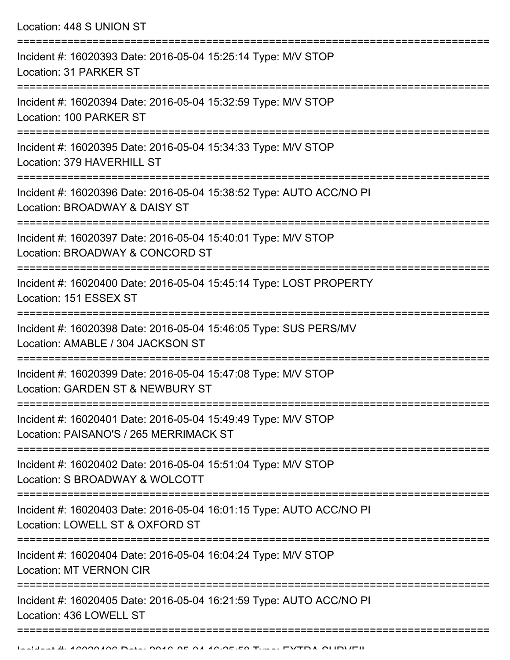Location: 448 S UNION ST =========================================================================== Incident #: 16020393 Date: 2016-05-04 15:25:14 Type: M/V STOP Location: 31 PARKER ST =========================================================================== Incident #: 16020394 Date: 2016-05-04 15:32:59 Type: M/V STOP Location: 100 PARKER ST =========================================================================== Incident #: 16020395 Date: 2016-05-04 15:34:33 Type: M/V STOP Location: 379 HAVERHILL ST =========================================================================== Incident #: 16020396 Date: 2016-05-04 15:38:52 Type: AUTO ACC/NO PI Location: BROADWAY & DAISY ST =========================================================================== Incident #: 16020397 Date: 2016-05-04 15:40:01 Type: M/V STOP Location: BROADWAY & CONCORD ST =========================================================================== Incident #: 16020400 Date: 2016-05-04 15:45:14 Type: LOST PROPERTY Location: 151 ESSEX ST =========================================================================== Incident #: 16020398 Date: 2016-05-04 15:46:05 Type: SUS PERS/MV Location: AMABLE / 304 JACKSON ST =========================================================================== Incident #: 16020399 Date: 2016-05-04 15:47:08 Type: M/V STOP Location: GARDEN ST & NEWBURY ST =========================================================================== Incident #: 16020401 Date: 2016-05-04 15:49:49 Type: M/V STOP Location: PAISANO'S / 265 MERRIMACK ST =========================================================================== Incident #: 16020402 Date: 2016-05-04 15:51:04 Type: M/V STOP Location: S BROADWAY & WOLCOTT =========================================================================== Incident #: 16020403 Date: 2016-05-04 16:01:15 Type: AUTO ACC/NO PI Location: LOWELL ST & OXFORD ST =========================================================================== Incident #: 16020404 Date: 2016-05-04 16:04:24 Type: M/V STOP Location: MT VERNON CIR =========================================================================== Incident #: 16020405 Date: 2016-05-04 16:21:59 Type: AUTO ACC/NO PI Location: 436 LOWELL ST

========================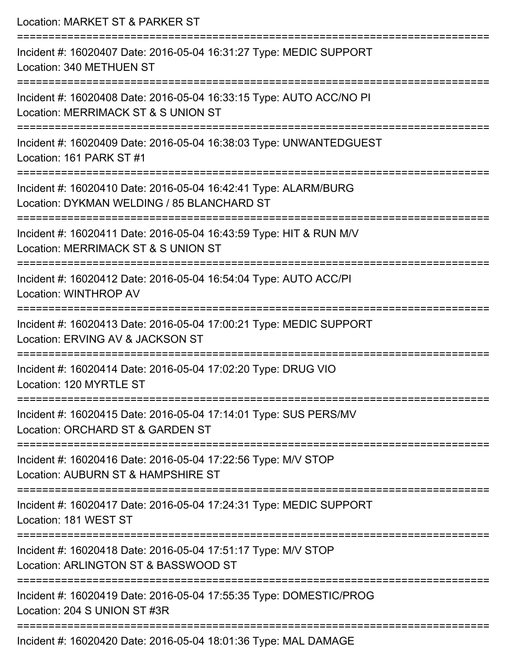| Location: MARKET ST & PARKER ST                                                                                                        |
|----------------------------------------------------------------------------------------------------------------------------------------|
| Incident #: 16020407 Date: 2016-05-04 16:31:27 Type: MEDIC SUPPORT<br>Location: 340 METHUEN ST                                         |
| Incident #: 16020408 Date: 2016-05-04 16:33:15 Type: AUTO ACC/NO PI<br>Location: MERRIMACK ST & S UNION ST                             |
| Incident #: 16020409 Date: 2016-05-04 16:38:03 Type: UNWANTEDGUEST<br>Location: 161 PARK ST #1                                         |
| Incident #: 16020410 Date: 2016-05-04 16:42:41 Type: ALARM/BURG<br>Location: DYKMAN WELDING / 85 BLANCHARD ST                          |
| Incident #: 16020411 Date: 2016-05-04 16:43:59 Type: HIT & RUN M/V<br>Location: MERRIMACK ST & S UNION ST                              |
| ====================================<br>Incident #: 16020412 Date: 2016-05-04 16:54:04 Type: AUTO ACC/PI<br>Location: WINTHROP AV      |
| Incident #: 16020413 Date: 2016-05-04 17:00:21 Type: MEDIC SUPPORT<br>Location: ERVING AV & JACKSON ST                                 |
| ============<br>Incident #: 16020414 Date: 2016-05-04 17:02:20 Type: DRUG VIO<br>Location: 120 MYRTLE ST                               |
| ------------------------------<br>Incident #: 16020415 Date: 2016-05-04 17:14:01 Type: SUS PERS/MV<br>Location: ORCHARD ST & GARDEN ST |
| Incident #: 16020416 Date: 2016-05-04 17:22:56 Type: M/V STOP<br>Location: AUBURN ST & HAMPSHIRE ST                                    |
| Incident #: 16020417 Date: 2016-05-04 17:24:31 Type: MEDIC SUPPORT<br>Location: 181 WEST ST                                            |
| =====================<br>Incident #: 16020418 Date: 2016-05-04 17:51:17 Type: M/V STOP<br>Location: ARLINGTON ST & BASSWOOD ST         |
| Incident #: 16020419 Date: 2016-05-04 17:55:35 Type: DOMESTIC/PROG<br>Location: 204 S UNION ST #3R                                     |
| Incident #: 16020420 Date: 2016-05-04 18:01:36 Type: MAL DAMAGE                                                                        |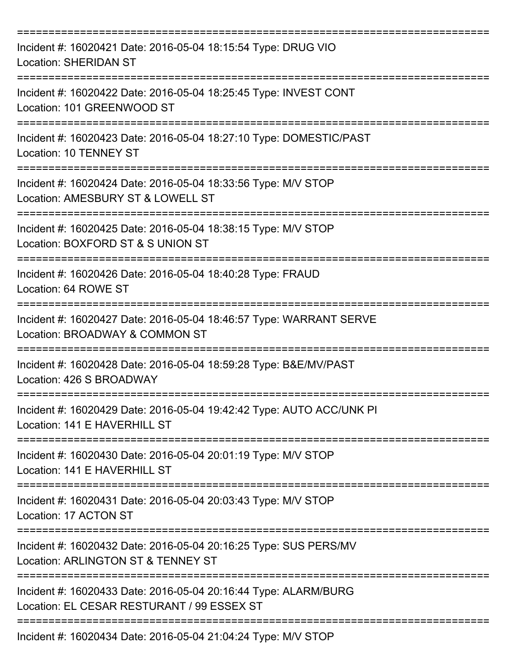| Incident #: 16020421 Date: 2016-05-04 18:15:54 Type: DRUG VIO<br><b>Location: SHERIDAN ST</b>                                   |
|---------------------------------------------------------------------------------------------------------------------------------|
| Incident #: 16020422 Date: 2016-05-04 18:25:45 Type: INVEST CONT<br>Location: 101 GREENWOOD ST                                  |
| Incident #: 16020423 Date: 2016-05-04 18:27:10 Type: DOMESTIC/PAST<br>Location: 10 TENNEY ST                                    |
| Incident #: 16020424 Date: 2016-05-04 18:33:56 Type: M/V STOP<br>Location: AMESBURY ST & LOWELL ST                              |
| Incident #: 16020425 Date: 2016-05-04 18:38:15 Type: M/V STOP<br>Location: BOXFORD ST & S UNION ST                              |
| ================<br>Incident #: 16020426 Date: 2016-05-04 18:40:28 Type: FRAUD<br>Location: 64 ROWE ST                          |
| Incident #: 16020427 Date: 2016-05-04 18:46:57 Type: WARRANT SERVE<br>Location: BROADWAY & COMMON ST                            |
| Incident #: 16020428 Date: 2016-05-04 18:59:28 Type: B&E/MV/PAST<br>Location: 426 S BROADWAY                                    |
| Incident #: 16020429 Date: 2016-05-04 19:42:42 Type: AUTO ACC/UNK PI<br>Location: 141 E HAVERHILL ST                            |
| Incident #: 16020430 Date: 2016-05-04 20:01:19 Type: M/V STOP<br>Location: 141 E HAVERHILL ST                                   |
| Incident #: 16020431 Date: 2016-05-04 20:03:43 Type: M/V STOP<br>Location: 17 ACTON ST                                          |
| =====================<br>Incident #: 16020432 Date: 2016-05-04 20:16:25 Type: SUS PERS/MV<br>Location: ARLINGTON ST & TENNEY ST |
| Incident #: 16020433 Date: 2016-05-04 20:16:44 Type: ALARM/BURG<br>Location: EL CESAR RESTURANT / 99 ESSEX ST                   |
| Incident #: 16020434 Date: 2016-05-04 21:04:24 Type: M/V STOP                                                                   |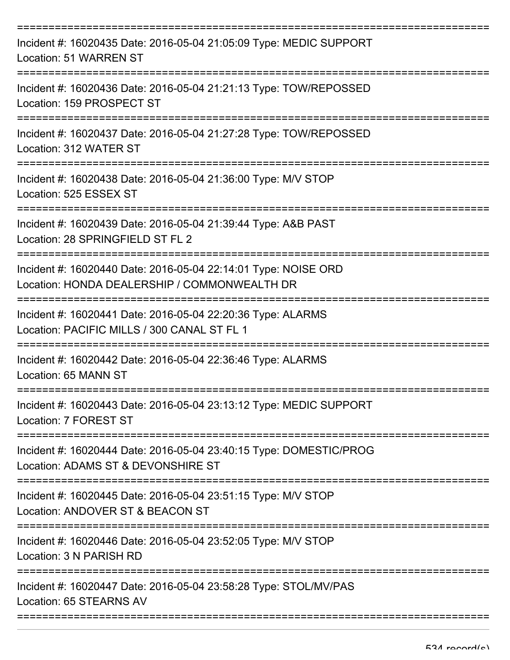| Incident #: 16020435 Date: 2016-05-04 21:05:09 Type: MEDIC SUPPORT<br>Location: 51 WARREN ST                   |
|----------------------------------------------------------------------------------------------------------------|
| Incident #: 16020436 Date: 2016-05-04 21:21:13 Type: TOW/REPOSSED<br>Location: 159 PROSPECT ST                 |
| Incident #: 16020437 Date: 2016-05-04 21:27:28 Type: TOW/REPOSSED<br>Location: 312 WATER ST                    |
| Incident #: 16020438 Date: 2016-05-04 21:36:00 Type: M/V STOP<br>Location: 525 ESSEX ST                        |
| Incident #: 16020439 Date: 2016-05-04 21:39:44 Type: A&B PAST<br>Location: 28 SPRINGFIELD ST FL 2              |
| Incident #: 16020440 Date: 2016-05-04 22:14:01 Type: NOISE ORD<br>Location: HONDA DEALERSHIP / COMMONWEALTH DR |
| Incident #: 16020441 Date: 2016-05-04 22:20:36 Type: ALARMS<br>Location: PACIFIC MILLS / 300 CANAL ST FL 1     |
| Incident #: 16020442 Date: 2016-05-04 22:36:46 Type: ALARMS<br>Location: 65 MANN ST                            |
| Incident #: 16020443 Date: 2016-05-04 23:13:12 Type: MEDIC SUPPORT<br>Location: 7 FOREST ST                    |
| Incident #: 16020444 Date: 2016-05-04 23:40:15 Type: DOMESTIC/PROG<br>Location: ADAMS ST & DEVONSHIRE ST       |
| Incident #: 16020445 Date: 2016-05-04 23:51:15 Type: M/V STOP<br>Location: ANDOVER ST & BEACON ST              |
| Incident #: 16020446 Date: 2016-05-04 23:52:05 Type: M/V STOP<br>Location: 3 N PARISH RD                       |
| Incident #: 16020447 Date: 2016-05-04 23:58:28 Type: STOL/MV/PAS<br>Location: 65 STEARNS AV                    |

===========================================================================